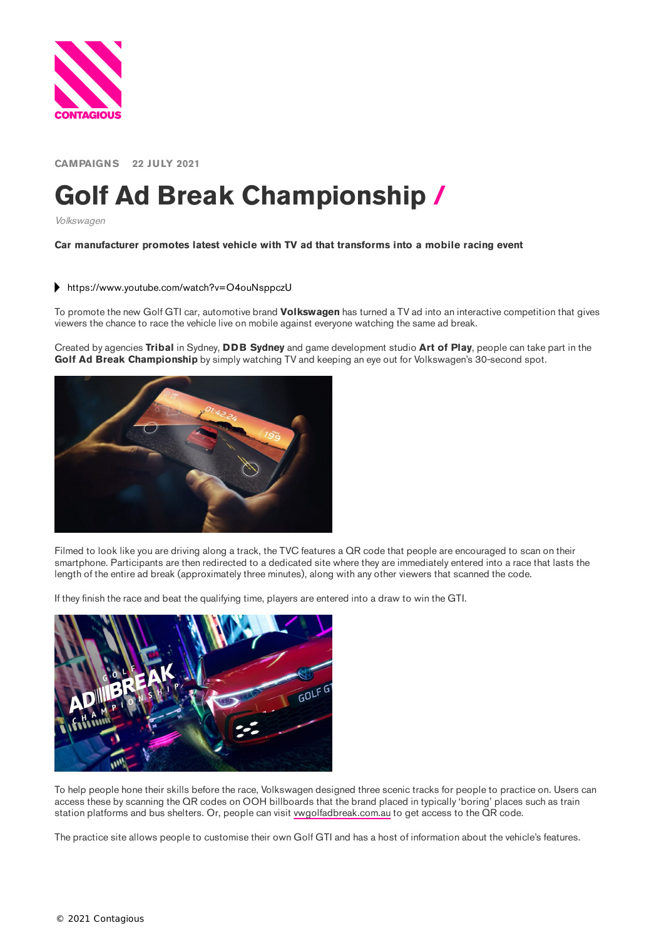

**CAMPAIGNS 22 JULY 2021**

## **Golf Ad Break Championship /**

Volkswagen

**Car manufacturer promotes latest vehicle with TV ad that transforms into a mobile racing event**

## <https://www.youtube.com/watch?v=O4ouNsppczU>

To promote the new Golf GTI car, automotive brand **Volkswagen** has turned a TV ad into an interactive competition that gives viewers the chance to race the vehicle live on mobile against everyone watching the same ad break.

Created by agencies **Tribal** in Sydney, **DDB Sydney** and game development studio **Art of Play**, people can take part in the **Golf Ad Break Championship** by simply watching TV and keeping an eye out for Volkswagen's 30-second spot.



Filmed to look like you are driving along a track, the TVC features a QR code that people are encouraged to scan on their smartphone. Participants are then redirected to a dedicated site where they are immediately entered into a race that lasts the length of the entire ad break (approximately three minutes), along with any other viewers that scanned the code.

If they finish the race and beat the qualifying time, players are entered into a draw to win the GTI.



To help people hone their skills before the race, Volkswagen designed three scenic tracks for people to practice on. Users can access these by scanning the QR codes on OOH billboards that the brand placed in typically 'boring' places such as train station platforms and bus shelters. Or, people can visit [vwgolfadbreak.com.au](https://vwgolfadbreak.com.au/) to get access to the QR code.

The practice site allows people to customise their own Golf GTI and has a host of information about the vehicle's features.